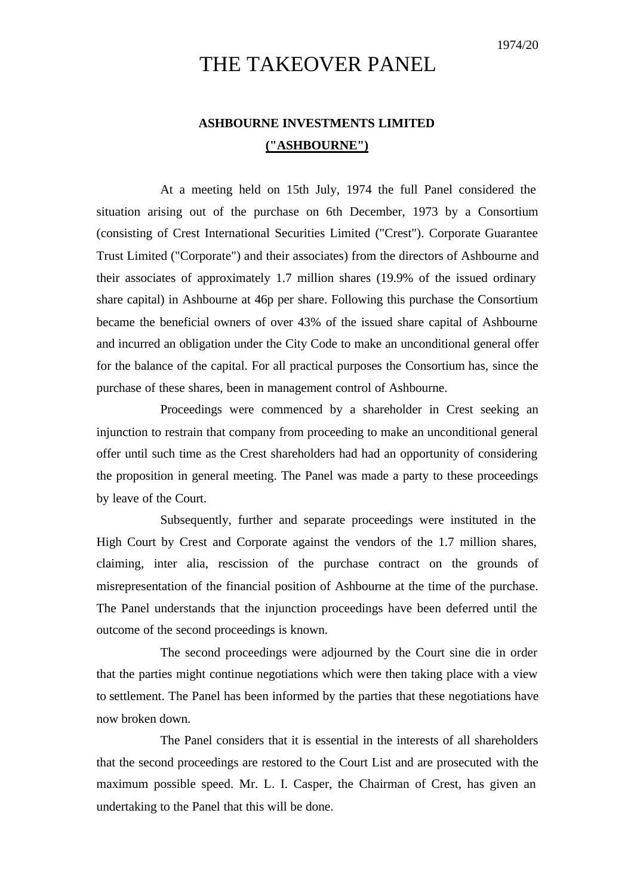## THE TAKEOVER PANEL

## **ASHBOURNE INVESTMENTS LIMITED ("ASHBOURNE")**

At a meeting held on 15th July, 1974 the full Panel considered the situation arising out of the purchase on 6th December, 1973 by a Consortium (consisting of Crest International Securities Limited ("Crest"). Corporate Guarantee Trust Limited ("Corporate") and their associates) from the directors of Ashbourne and their associates of approximately 1.7 million shares (19.9% of the issued ordinary share capital) in Ashbourne at 46p per share. Following this purchase the Consortium became the beneficial owners of over 43% of the issued share capital of Ashbourne and incurred an obligation under the City Code to make an unconditional general offer for the balance of the capital. For all practical purposes the Consortium has, since the purchase of these shares, been in management control of Ashbourne.

Proceedings were commenced by a shareholder in Crest seeking an injunction to restrain that company from proceeding to make an unconditional general offer until such time as the Crest shareholders had had an opportunity of considering the proposition in general meeting. The Panel was made a party to these proceedings by leave of the Court.

Subsequently, further and separate proceedings were instituted in the High Court by Crest and Corporate against the vendors of the 1.7 million shares, claiming, inter alia, rescission of the purchase contract on the grounds of misrepresentation of the financial position of Ashbourne at the time of the purchase. The Panel understands that the injunction proceedings have been deferred until the outcome of the second proceedings is known.

The second proceedings were adjourned by the Court sine die in order that the parties might continue negotiations which were then taking place with a view to settlement. The Panel has been informed by the parties that these negotiations have now broken down.

The Panel considers that it is essential in the interests of all shareholders that the second proceedings are restored to the Court List and are prosecuted with the maximum possible speed. Mr. L. I. Casper, the Chairman of Crest, has given an undertaking to the Panel that this will be done.